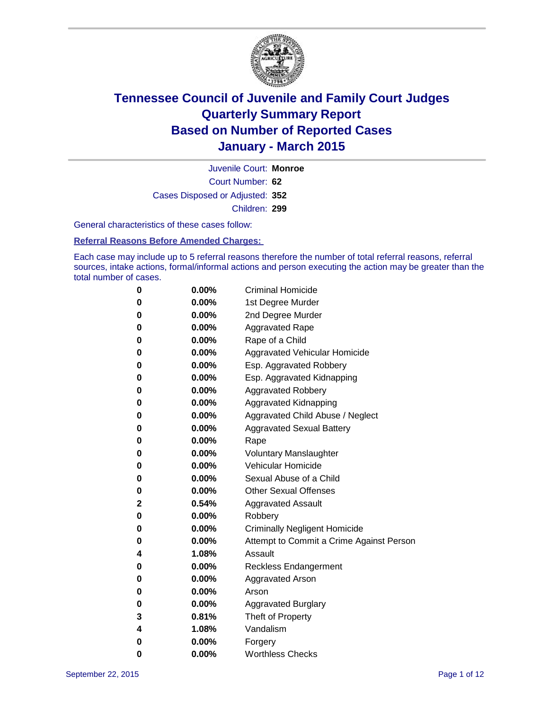

Court Number: **62** Juvenile Court: **Monroe** Cases Disposed or Adjusted: **352** Children: **299**

General characteristics of these cases follow:

#### **Referral Reasons Before Amended Charges:**

Each case may include up to 5 referral reasons therefore the number of total referral reasons, referral sources, intake actions, formal/informal actions and person executing the action may be greater than the total number of cases.

| 0        | $0.00\%$ | <b>Criminal Homicide</b>                 |
|----------|----------|------------------------------------------|
| 0        | $0.00\%$ | 1st Degree Murder                        |
| $\bf{0}$ | 0.00%    | 2nd Degree Murder                        |
| 0        | $0.00\%$ | <b>Aggravated Rape</b>                   |
| 0        | $0.00\%$ | Rape of a Child                          |
| 0        | $0.00\%$ | Aggravated Vehicular Homicide            |
| $\bf{0}$ | $0.00\%$ | Esp. Aggravated Robbery                  |
| 0        | $0.00\%$ | Esp. Aggravated Kidnapping               |
| $\bf{0}$ | 0.00%    | <b>Aggravated Robbery</b>                |
| $\bf{0}$ | $0.00\%$ | <b>Aggravated Kidnapping</b>             |
| 0        | 0.00%    | Aggravated Child Abuse / Neglect         |
| 0        | $0.00\%$ | <b>Aggravated Sexual Battery</b>         |
| $\bf{0}$ | $0.00\%$ | Rape                                     |
| 0        | $0.00\%$ | <b>Voluntary Manslaughter</b>            |
| 0        | $0.00\%$ | <b>Vehicular Homicide</b>                |
| $\bf{0}$ | $0.00\%$ | Sexual Abuse of a Child                  |
| $\bf{0}$ | $0.00\%$ | <b>Other Sexual Offenses</b>             |
| 2        | 0.54%    | <b>Aggravated Assault</b>                |
| $\bf{0}$ | $0.00\%$ | Robbery                                  |
| $\bf{0}$ | $0.00\%$ | <b>Criminally Negligent Homicide</b>     |
| 0        | $0.00\%$ | Attempt to Commit a Crime Against Person |
| 4        | 1.08%    | Assault                                  |
| 0        | 0.00%    | <b>Reckless Endangerment</b>             |
| 0        | $0.00\%$ | <b>Aggravated Arson</b>                  |
| 0        | $0.00\%$ | Arson                                    |
| $\bf{0}$ | $0.00\%$ | <b>Aggravated Burglary</b>               |
| 3        | 0.81%    | Theft of Property                        |
| 4        | 1.08%    | Vandalism                                |
| 0        | 0.00%    | Forgery                                  |
| 0        | $0.00\%$ | <b>Worthless Checks</b>                  |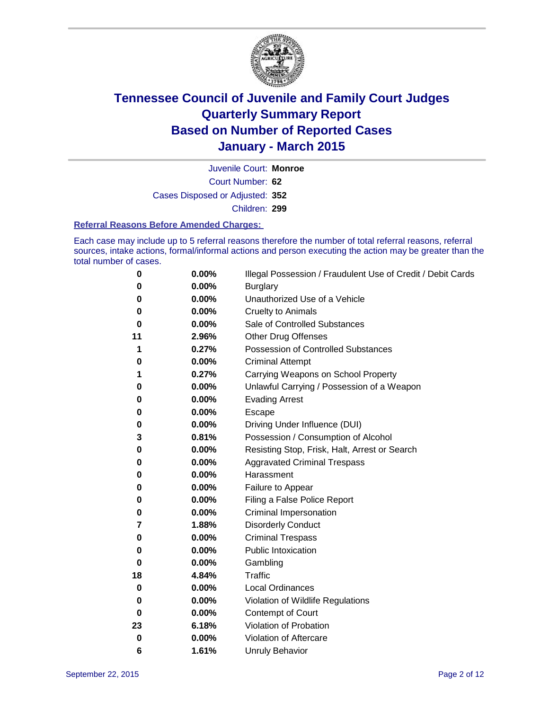

Court Number: **62** Juvenile Court: **Monroe** Cases Disposed or Adjusted: **352** Children: **299**

#### **Referral Reasons Before Amended Charges:**

Each case may include up to 5 referral reasons therefore the number of total referral reasons, referral sources, intake actions, formal/informal actions and person executing the action may be greater than the total number of cases.

| 0  | 0.00% | Illegal Possession / Fraudulent Use of Credit / Debit Cards |
|----|-------|-------------------------------------------------------------|
| 0  | 0.00% | <b>Burglary</b>                                             |
| 0  | 0.00% | Unauthorized Use of a Vehicle                               |
| 0  | 0.00% | <b>Cruelty to Animals</b>                                   |
| 0  | 0.00% | Sale of Controlled Substances                               |
| 11 | 2.96% | <b>Other Drug Offenses</b>                                  |
| 1  | 0.27% | Possession of Controlled Substances                         |
| 0  | 0.00% | <b>Criminal Attempt</b>                                     |
| 1  | 0.27% | Carrying Weapons on School Property                         |
| 0  | 0.00% | Unlawful Carrying / Possession of a Weapon                  |
| 0  | 0.00% | <b>Evading Arrest</b>                                       |
| 0  | 0.00% | Escape                                                      |
| 0  | 0.00% | Driving Under Influence (DUI)                               |
| 3  | 0.81% | Possession / Consumption of Alcohol                         |
| 0  | 0.00% | Resisting Stop, Frisk, Halt, Arrest or Search               |
| 0  | 0.00% | <b>Aggravated Criminal Trespass</b>                         |
| 0  | 0.00% | Harassment                                                  |
| 0  | 0.00% | Failure to Appear                                           |
| 0  | 0.00% | Filing a False Police Report                                |
| 0  | 0.00% | Criminal Impersonation                                      |
| 7  | 1.88% | <b>Disorderly Conduct</b>                                   |
| 0  | 0.00% | <b>Criminal Trespass</b>                                    |
| 0  | 0.00% | <b>Public Intoxication</b>                                  |
| 0  | 0.00% | Gambling                                                    |
| 18 | 4.84% | <b>Traffic</b>                                              |
| 0  | 0.00% | <b>Local Ordinances</b>                                     |
| 0  | 0.00% | Violation of Wildlife Regulations                           |
| 0  | 0.00% | Contempt of Court                                           |
| 23 | 6.18% | Violation of Probation                                      |
| 0  | 0.00% | Violation of Aftercare                                      |
| 6  | 1.61% | <b>Unruly Behavior</b>                                      |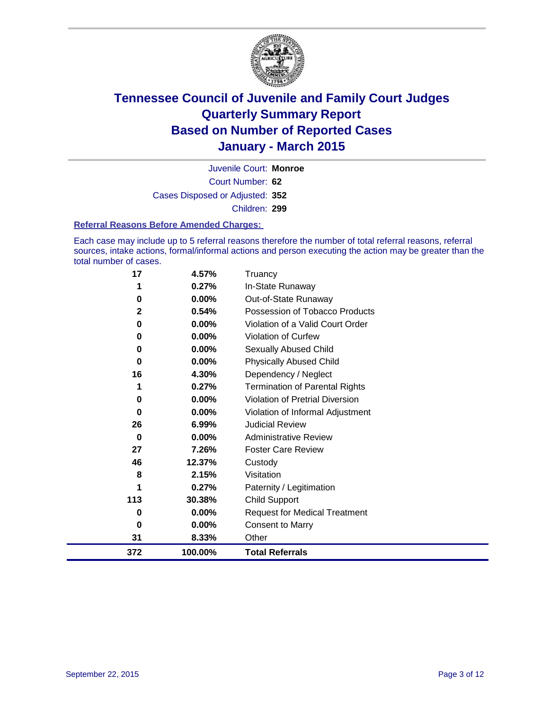

Court Number: **62** Juvenile Court: **Monroe** Cases Disposed or Adjusted: **352** Children: **299**

#### **Referral Reasons Before Amended Charges:**

Each case may include up to 5 referral reasons therefore the number of total referral reasons, referral sources, intake actions, formal/informal actions and person executing the action may be greater than the total number of cases.

| 17  | 4.57%   | Truancy                                |
|-----|---------|----------------------------------------|
| 1   | 0.27%   | In-State Runaway                       |
| 0   | 0.00%   | Out-of-State Runaway                   |
| 2   | 0.54%   | Possession of Tobacco Products         |
| 0   | 0.00%   | Violation of a Valid Court Order       |
| 0   | 0.00%   | <b>Violation of Curfew</b>             |
| 0   | 0.00%   | Sexually Abused Child                  |
| 0   | 0.00%   | <b>Physically Abused Child</b>         |
| 16  | 4.30%   | Dependency / Neglect                   |
| 1   | 0.27%   | <b>Termination of Parental Rights</b>  |
| 0   | 0.00%   | <b>Violation of Pretrial Diversion</b> |
| 0   | 0.00%   | Violation of Informal Adjustment       |
| 26  | 6.99%   | <b>Judicial Review</b>                 |
| 0   | 0.00%   | <b>Administrative Review</b>           |
| 27  | 7.26%   | <b>Foster Care Review</b>              |
| 46  | 12.37%  | Custody                                |
| 8   | 2.15%   | Visitation                             |
| 1   | 0.27%   | Paternity / Legitimation               |
| 113 | 30.38%  | <b>Child Support</b>                   |
| 0   | 0.00%   | <b>Request for Medical Treatment</b>   |
| 0   | 0.00%   | Consent to Marry                       |
| 31  | 8.33%   | Other                                  |
| 372 | 100.00% | <b>Total Referrals</b>                 |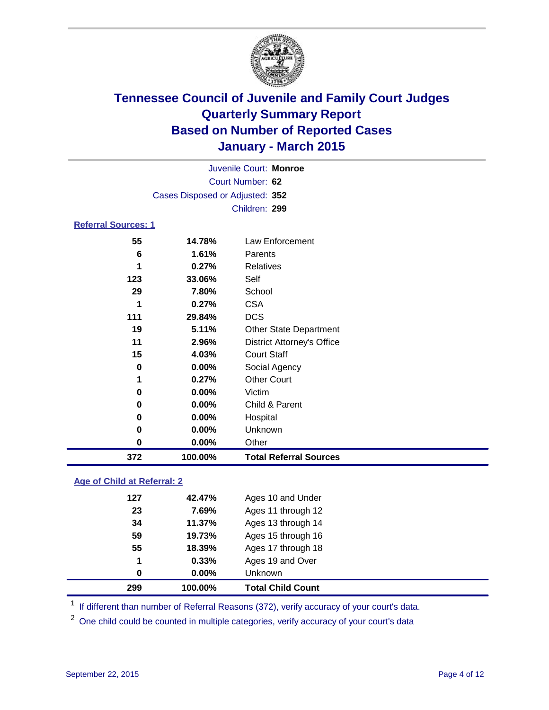

|                            | Juvenile Court: Monroe          |                               |  |  |  |  |
|----------------------------|---------------------------------|-------------------------------|--|--|--|--|
|                            | Court Number: 62                |                               |  |  |  |  |
|                            | Cases Disposed or Adjusted: 352 |                               |  |  |  |  |
|                            |                                 | Children: 299                 |  |  |  |  |
| <b>Referral Sources: 1</b> |                                 |                               |  |  |  |  |
| 55                         | 14.78%                          | Law Enforcement               |  |  |  |  |
| 6                          | 1.61%                           | Parents                       |  |  |  |  |
| 1                          | 0.27%                           | Relatives                     |  |  |  |  |
| 123                        | 33.06%                          | Self                          |  |  |  |  |
| 29                         | 7.80%                           | School                        |  |  |  |  |
| 1                          | 0.27%                           | <b>CSA</b>                    |  |  |  |  |
| 111                        | 29.84%                          | <b>DCS</b>                    |  |  |  |  |
| 19                         | 5.11%                           | <b>Other State Department</b> |  |  |  |  |

**2.96%** District Attorney's Office

### **0.00%** Unknown **0.00%** Other **100.00% Total Referral Sources**

**0.00%** Child & Parent

**0.00%** Hospital

 **4.03%** Court Staff **0.00%** Social Agency **0.27%** Other Court

### **Age of Child at Referral: 2**

| 299 | 100.00%  | <b>Total Child Count</b> |
|-----|----------|--------------------------|
| 0   | $0.00\%$ | Unknown                  |
| 1   | 0.33%    | Ages 19 and Over         |
| 55  | 18.39%   | Ages 17 through 18       |
| 59  | 19.73%   | Ages 15 through 16       |
| 34  | 11.37%   | Ages 13 through 14       |
| 23  | 7.69%    | Ages 11 through 12       |
| 127 | 42.47%   | Ages 10 and Under        |
|     |          |                          |

**0.00%** Victim

<sup>1</sup> If different than number of Referral Reasons (372), verify accuracy of your court's data.

One child could be counted in multiple categories, verify accuracy of your court's data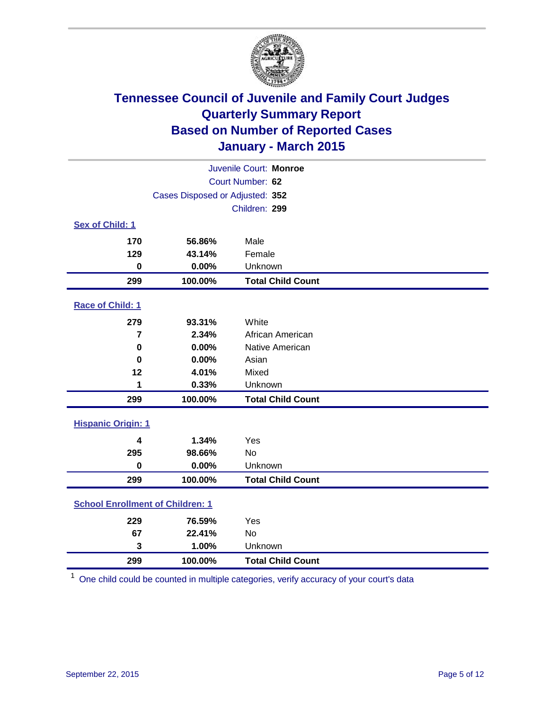

| Juvenile Court: Monroe                  |                                 |                          |  |  |
|-----------------------------------------|---------------------------------|--------------------------|--|--|
|                                         | Court Number: 62                |                          |  |  |
|                                         | Cases Disposed or Adjusted: 352 |                          |  |  |
|                                         |                                 | Children: 299            |  |  |
| Sex of Child: 1                         |                                 |                          |  |  |
| 170                                     | 56.86%                          | Male                     |  |  |
| 129                                     | 43.14%                          | Female                   |  |  |
| $\mathbf 0$                             | 0.00%                           | Unknown                  |  |  |
| 299                                     | 100.00%                         | <b>Total Child Count</b> |  |  |
| Race of Child: 1                        |                                 |                          |  |  |
| 279                                     | 93.31%                          | White                    |  |  |
| $\overline{7}$                          | 2.34%                           | African American         |  |  |
| 0                                       | 0.00%                           | Native American          |  |  |
| 0                                       | 0.00%                           | Asian                    |  |  |
| 12                                      | 4.01%                           | Mixed                    |  |  |
| 1                                       | 0.33%                           | Unknown                  |  |  |
| 299                                     | 100.00%                         | <b>Total Child Count</b> |  |  |
| <b>Hispanic Origin: 1</b>               |                                 |                          |  |  |
| $\overline{\mathbf{4}}$                 | 1.34%                           | Yes                      |  |  |
| 295                                     | 98.66%                          | <b>No</b>                |  |  |
| 0                                       | 0.00%                           | Unknown                  |  |  |
| 299                                     | 100.00%                         | <b>Total Child Count</b> |  |  |
| <b>School Enrollment of Children: 1</b> |                                 |                          |  |  |
| 229                                     | 76.59%                          | Yes                      |  |  |
| 67                                      | 22.41%                          | <b>No</b>                |  |  |
| $\mathbf{3}$                            | 1.00%                           | Unknown                  |  |  |
| 299                                     | 100.00%                         | <b>Total Child Count</b> |  |  |

One child could be counted in multiple categories, verify accuracy of your court's data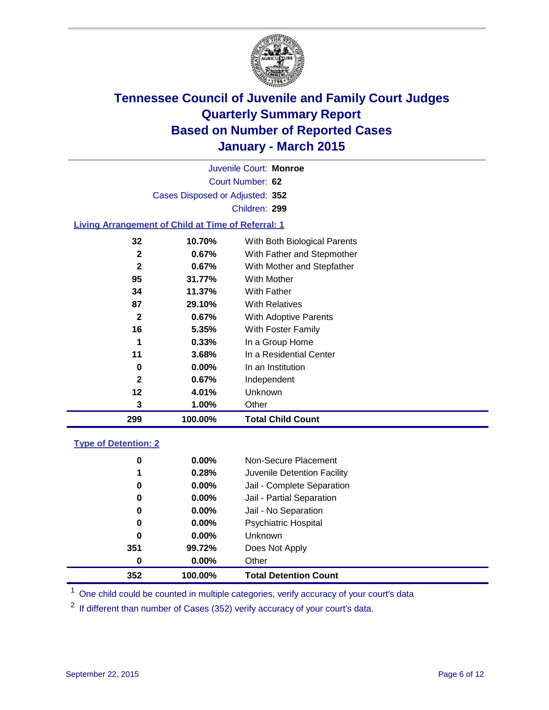

Court Number: **62** Juvenile Court: **Monroe** Cases Disposed or Adjusted: **352** Children: **299**

### **Living Arrangement of Child at Time of Referral: 1**

| 299          | 100.00%  | <b>Total Child Count</b>     |
|--------------|----------|------------------------------|
| 3            | 1.00%    | Other                        |
| 12           | 4.01%    | Unknown                      |
| $\mathbf{2}$ | 0.67%    | Independent                  |
| 0            | $0.00\%$ | In an Institution            |
| 11           | 3.68%    | In a Residential Center      |
| 1            | 0.33%    | In a Group Home              |
| 16           | 5.35%    | With Foster Family           |
| $\mathbf{2}$ | 0.67%    | With Adoptive Parents        |
| 87           | 29.10%   | <b>With Relatives</b>        |
| 34           | 11.37%   | <b>With Father</b>           |
| 95           | 31.77%   | With Mother                  |
| $\mathbf{2}$ | 0.67%    | With Mother and Stepfather   |
| $\mathbf{2}$ | 0.67%    | With Father and Stepmother   |
| 32           | 10.70%   | With Both Biological Parents |
|              |          |                              |

#### **Type of Detention: 2**

| 0<br>1<br>0<br>0<br>0<br>0 | $0.00\%$<br>0.28%<br>$0.00\%$<br>0.00%<br>$0.00\%$<br>$0.00\%$ | Non-Secure Placement<br>Juvenile Detention Facility<br>Jail - Complete Separation<br>Jail - Partial Separation<br>Jail - No Separation<br><b>Psychiatric Hospital</b> |
|----------------------------|----------------------------------------------------------------|-----------------------------------------------------------------------------------------------------------------------------------------------------------------------|
| 0                          | $0.00\%$                                                       | Unknown                                                                                                                                                               |
| 351                        | 99.72%                                                         | Does Not Apply                                                                                                                                                        |
| 0                          | $0.00\%$                                                       | Other                                                                                                                                                                 |
| 352                        | 100.00%                                                        | <b>Total Detention Count</b>                                                                                                                                          |

<sup>1</sup> One child could be counted in multiple categories, verify accuracy of your court's data

If different than number of Cases (352) verify accuracy of your court's data.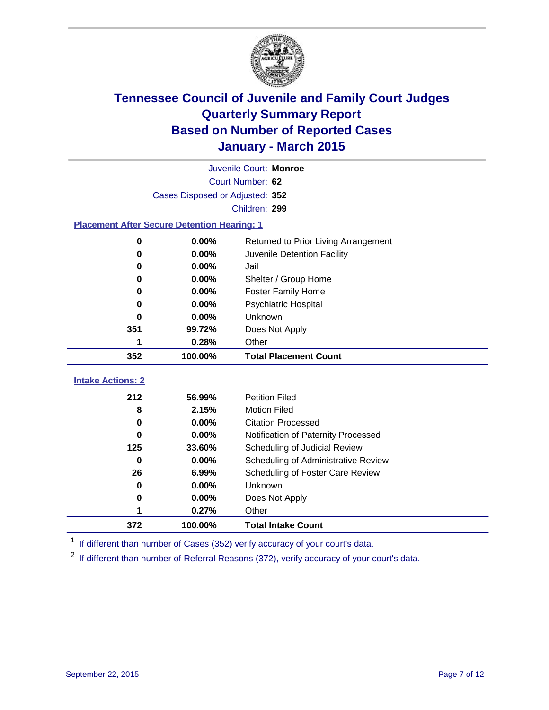

|                                                    | Juvenile Court: Monroe |                                      |  |  |  |
|----------------------------------------------------|------------------------|--------------------------------------|--|--|--|
|                                                    | Court Number: 62       |                                      |  |  |  |
| Cases Disposed or Adjusted: 352                    |                        |                                      |  |  |  |
| Children: 299                                      |                        |                                      |  |  |  |
| <b>Placement After Secure Detention Hearing: 1</b> |                        |                                      |  |  |  |
| 0                                                  | 0.00%                  | Returned to Prior Living Arrangement |  |  |  |
| 0                                                  | 0.00%                  | Juvenile Detention Facility          |  |  |  |
| 0                                                  | 0.00%                  | Jail                                 |  |  |  |
| 0                                                  | 0.00%                  | Shelter / Group Home                 |  |  |  |
| 0                                                  | 0.00%                  | <b>Foster Family Home</b>            |  |  |  |
| 0                                                  | 0.00%                  | <b>Psychiatric Hospital</b>          |  |  |  |
| 0                                                  | 0.00%                  | Unknown                              |  |  |  |
| 351                                                | 99.72%                 | Does Not Apply                       |  |  |  |
| 1                                                  | 0.28%                  | Other                                |  |  |  |
| 352                                                | 100.00%                | <b>Total Placement Count</b>         |  |  |  |
| <b>Intake Actions: 2</b>                           |                        |                                      |  |  |  |
| 212                                                | 56.99%                 | <b>Petition Filed</b>                |  |  |  |
| 8                                                  | 2.15%                  | <b>Motion Filed</b>                  |  |  |  |
| 0                                                  | 0.00%                  | <b>Citation Processed</b>            |  |  |  |
| 0                                                  | 0.00%                  | Notification of Paternity Processed  |  |  |  |
| 125                                                | 33.60%                 | Scheduling of Judicial Review        |  |  |  |
| $\bf{0}$                                           | 0.00%                  | Scheduling of Administrative Review  |  |  |  |
| 26                                                 | 6.99%                  | Scheduling of Foster Care Review     |  |  |  |
| 0                                                  | 0.00%                  | Unknown                              |  |  |  |
| 0                                                  | 0.00%                  | Does Not Apply                       |  |  |  |
| 1                                                  | 0.27%                  | Other                                |  |  |  |
| 372                                                | 100.00%                | <b>Total Intake Count</b>            |  |  |  |

<sup>1</sup> If different than number of Cases (352) verify accuracy of your court's data.

If different than number of Referral Reasons (372), verify accuracy of your court's data.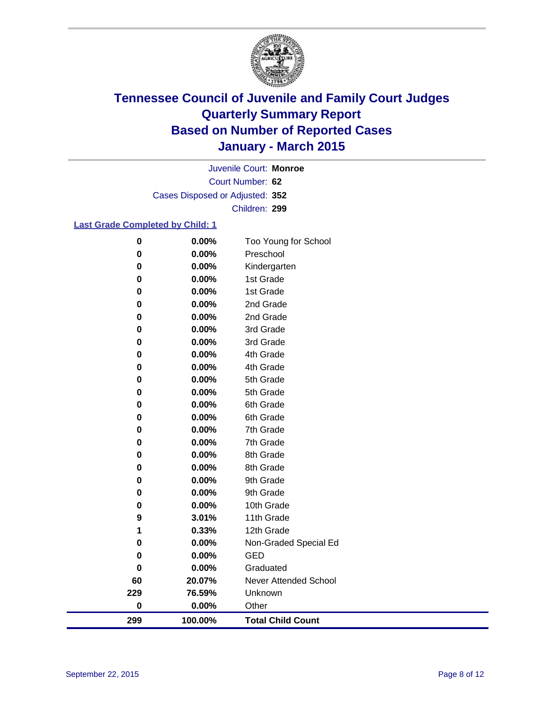

Court Number: **62** Juvenile Court: **Monroe** Cases Disposed or Adjusted: **352** Children: **299**

### **Last Grade Completed by Child: 1**

| 299       | 100.00%        | <b>Total Child Count</b>  |
|-----------|----------------|---------------------------|
| $\pmb{0}$ | 0.00%          | Other                     |
| 229       | 76.59%         | Unknown                   |
| 60        | 20.07%         | Never Attended School     |
| 0         | 0.00%          | Graduated                 |
| 0         | 0.00%          | <b>GED</b>                |
| 0         | 0.00%          | Non-Graded Special Ed     |
| 1         | 0.33%          | 12th Grade                |
| 9         | 3.01%          | 11th Grade                |
| 0         | 0.00%          | 10th Grade                |
| 0         | 0.00%          | 9th Grade                 |
| 0         | 0.00%          | 9th Grade                 |
| $\pmb{0}$ | 0.00%          | 8th Grade                 |
| 0         | 0.00%          | 8th Grade                 |
| 0         | 0.00%          | 7th Grade                 |
| 0         | 0.00%          | 7th Grade                 |
| 0         | 0.00%          | 6th Grade                 |
| 0         | 0.00%          | 6th Grade                 |
| 0         | 0.00%          | 5th Grade                 |
| 0         | 0.00%          | 5th Grade                 |
| 0         | 0.00%          | 4th Grade                 |
| 0         | 0.00%          | 4th Grade                 |
| 0         | 0.00%          | 3rd Grade                 |
| 0         | 0.00%          | 3rd Grade                 |
| 0         | 0.00%          | 2nd Grade                 |
| 0         | 0.00%          | 2nd Grade                 |
| 0         | 0.00%          | 1st Grade                 |
| 0<br>0    | 0.00%<br>0.00% | Kindergarten<br>1st Grade |
| 0         | 0.00%          | Preschool                 |
| $\bf{0}$  | 0.00%          | Too Young for School      |
|           |                |                           |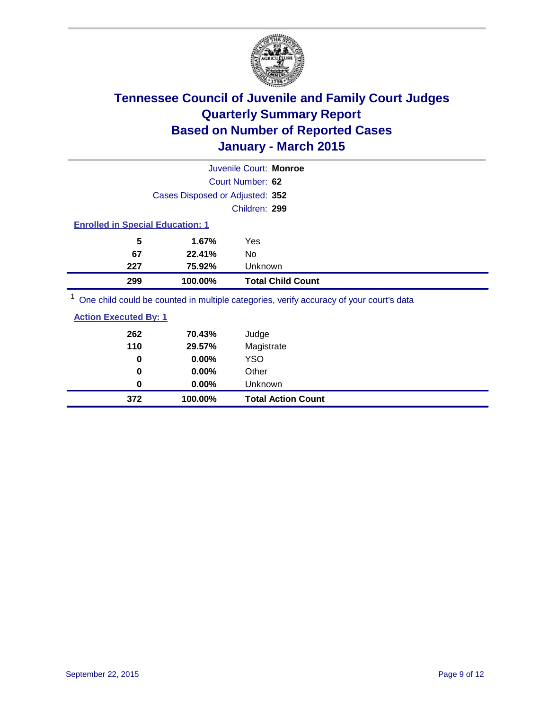

|                                                                                         | Juvenile Court: Monroe                  |                          |  |  |  |
|-----------------------------------------------------------------------------------------|-----------------------------------------|--------------------------|--|--|--|
|                                                                                         | Court Number: 62                        |                          |  |  |  |
|                                                                                         | Cases Disposed or Adjusted: 352         |                          |  |  |  |
|                                                                                         | Children: 299                           |                          |  |  |  |
|                                                                                         | <b>Enrolled in Special Education: 1</b> |                          |  |  |  |
| 5                                                                                       | 1.67%<br>Yes                            |                          |  |  |  |
| 67                                                                                      | 22.41%<br>No                            |                          |  |  |  |
| 227                                                                                     | 75.92%                                  | Unknown                  |  |  |  |
| 299                                                                                     | 100.00%                                 | <b>Total Child Count</b> |  |  |  |
| One child could be counted in multiple categories, verify accuracy of your court's data |                                         |                          |  |  |  |

| <b>Action Executed By: 1</b> |          |                           |
|------------------------------|----------|---------------------------|
| 262                          | 70.43%   | Judge                     |
| 110                          | 29.57%   | Magistrate                |
| 0                            | 0.00%    | YSO                       |
| 0                            | 0.00%    | Other                     |
| 0                            | $0.00\%$ | <b>Unknown</b>            |
| 372                          | 100.00%  | <b>Total Action Count</b> |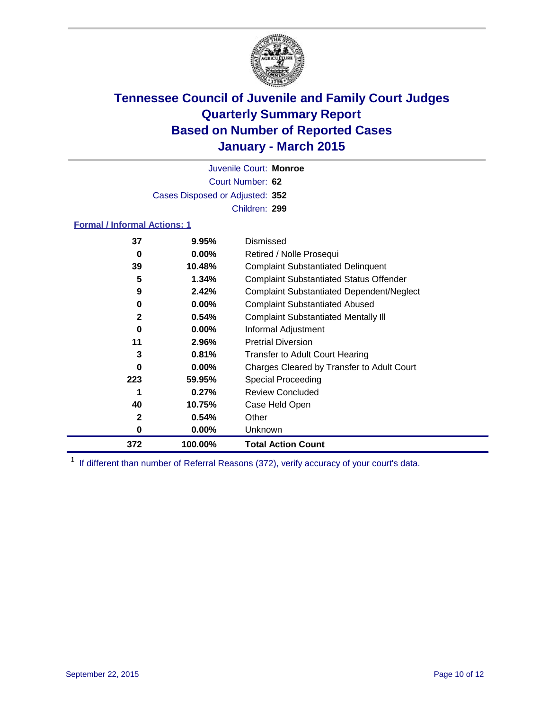

Court Number: **62** Juvenile Court: **Monroe** Cases Disposed or Adjusted: **352** Children: **299**

### **Formal / Informal Actions: 1**

| 37           | 9.95%    | Dismissed                                        |
|--------------|----------|--------------------------------------------------|
| 0            | $0.00\%$ | Retired / Nolle Prosequi                         |
| 39           | 10.48%   | <b>Complaint Substantiated Delinquent</b>        |
| 5            | 1.34%    | <b>Complaint Substantiated Status Offender</b>   |
| 9            | 2.42%    | <b>Complaint Substantiated Dependent/Neglect</b> |
| 0            | $0.00\%$ | <b>Complaint Substantiated Abused</b>            |
| $\mathbf{2}$ | 0.54%    | <b>Complaint Substantiated Mentally III</b>      |
| 0            | $0.00\%$ | Informal Adjustment                              |
| 11           | 2.96%    | <b>Pretrial Diversion</b>                        |
| 3            | 0.81%    | <b>Transfer to Adult Court Hearing</b>           |
| 0            | $0.00\%$ | Charges Cleared by Transfer to Adult Court       |
| 223          | 59.95%   | Special Proceeding                               |
| 1            | 0.27%    | <b>Review Concluded</b>                          |
| 40           | 10.75%   | Case Held Open                                   |
| 2            | 0.54%    | Other                                            |
| 0            | $0.00\%$ | Unknown                                          |
| 372          | 100.00%  | <b>Total Action Count</b>                        |

<sup>1</sup> If different than number of Referral Reasons (372), verify accuracy of your court's data.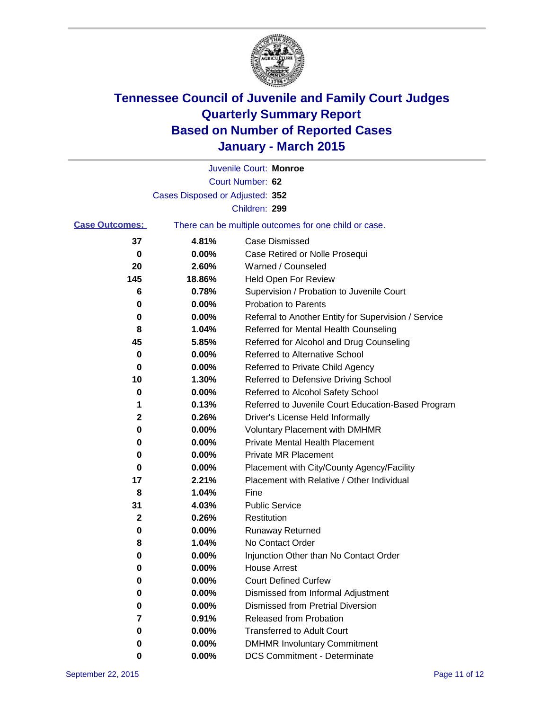

|                       |                                                       | Juvenile Court: Monroe                               |  |
|-----------------------|-------------------------------------------------------|------------------------------------------------------|--|
|                       |                                                       | Court Number: 62                                     |  |
|                       | Cases Disposed or Adjusted: 352                       |                                                      |  |
|                       |                                                       | Children: 299                                        |  |
| <b>Case Outcomes:</b> | There can be multiple outcomes for one child or case. |                                                      |  |
| 37                    | 4.81%                                                 | Case Dismissed                                       |  |
| 0                     | 0.00%                                                 | Case Retired or Nolle Prosequi                       |  |
| 20                    | 2.60%                                                 | Warned / Counseled                                   |  |
| 145                   | 18.86%                                                | Held Open For Review                                 |  |
| 6                     | 0.78%                                                 | Supervision / Probation to Juvenile Court            |  |
| 0                     | 0.00%                                                 | <b>Probation to Parents</b>                          |  |
| 0                     | 0.00%                                                 | Referral to Another Entity for Supervision / Service |  |
| 8                     | 1.04%                                                 | Referred for Mental Health Counseling                |  |
| 45                    | 5.85%                                                 | Referred for Alcohol and Drug Counseling             |  |
| 0                     | 0.00%                                                 | <b>Referred to Alternative School</b>                |  |
| 0                     | 0.00%                                                 | Referred to Private Child Agency                     |  |
| 10                    | 1.30%                                                 | Referred to Defensive Driving School                 |  |
| 0                     | 0.00%                                                 | Referred to Alcohol Safety School                    |  |
| 1                     | 0.13%                                                 | Referred to Juvenile Court Education-Based Program   |  |
| 2                     | 0.26%                                                 | Driver's License Held Informally                     |  |
| 0                     | 0.00%                                                 | <b>Voluntary Placement with DMHMR</b>                |  |
| 0                     | 0.00%                                                 | <b>Private Mental Health Placement</b>               |  |
| 0                     | 0.00%                                                 | <b>Private MR Placement</b>                          |  |
| 0                     | 0.00%                                                 | Placement with City/County Agency/Facility           |  |
| 17                    | 2.21%                                                 | Placement with Relative / Other Individual           |  |
| 8                     | 1.04%                                                 | Fine                                                 |  |
| 31                    | 4.03%                                                 | <b>Public Service</b>                                |  |
| 2                     | 0.26%                                                 | Restitution                                          |  |
| 0                     | 0.00%                                                 | <b>Runaway Returned</b>                              |  |
| 8                     | 1.04%                                                 | No Contact Order                                     |  |
| 0                     | 0.00%                                                 | Injunction Other than No Contact Order               |  |
| U                     | 0.00%                                                 | <b>House Arrest</b>                                  |  |
| 0                     | 0.00%                                                 | <b>Court Defined Curfew</b>                          |  |
| 0                     | 0.00%                                                 | Dismissed from Informal Adjustment                   |  |
| 0                     | 0.00%                                                 | <b>Dismissed from Pretrial Diversion</b>             |  |
| 7                     | 0.91%                                                 | Released from Probation                              |  |
| 0                     | 0.00%                                                 | <b>Transferred to Adult Court</b>                    |  |
| 0                     | 0.00%                                                 | <b>DMHMR Involuntary Commitment</b>                  |  |
| 0                     | $0.00\%$                                              | <b>DCS Commitment - Determinate</b>                  |  |